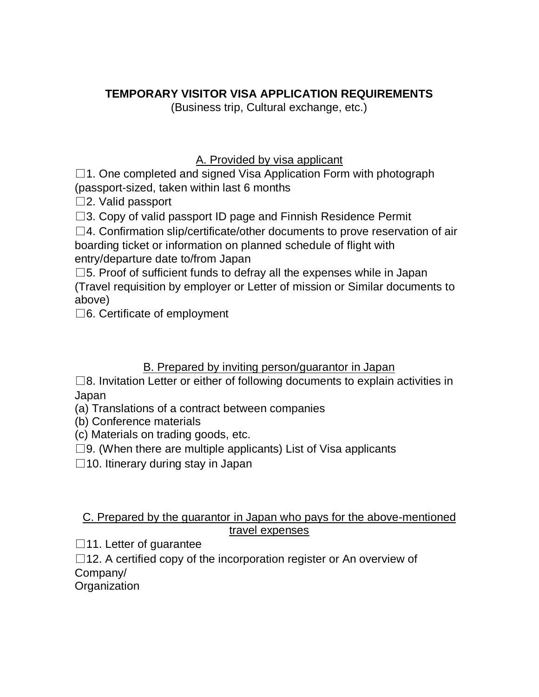## **TEMPORARY VISITOR VISA APPLICATION REQUIREMENTS**

(Business trip, Cultural exchange, etc.)

## A. Provided by visa applicant

 $\Box$ 1. One completed and signed Visa Application Form with photograph (passport-sized, taken within last 6 months

 $\square$ 2. Valid passport

 $\square$ 3. Copy of valid passport ID page and Finnish Residence Permit

 $\square$ 4. Confirmation slip/certificate/other documents to prove reservation of air boarding ticket or information on planned schedule of flight with entry/departure date to/from Japan

 $\square$ 5. Proof of sufficient funds to defray all the expenses while in Japan (Travel requisition by employer or Letter of mission or Similar documents to above)

□6. Certificate of employment

## B. Prepared by inviting person/guarantor in Japan

 $\square$ 8. Invitation Letter or either of following documents to explain activities in Japan

(a) Translations of a contract between companies

(b) Conference materials

(c) Materials on trading goods, etc.

 $\square$ 9. (When there are multiple applicants) List of Visa applicants

 $\square$ 10. Itinerary during stay in Japan

## C. Prepared by the guarantor in Japan who pays for the above-mentioned travel expenses

 $\Box$ 11. Letter of guarantee

 $\Box$ 12. A certified copy of the incorporation register or An overview of Company/

**Organization**